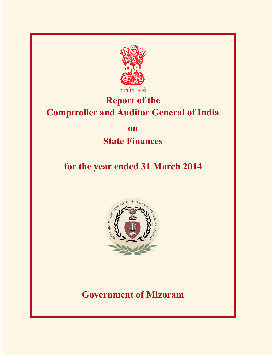

*Ricarda* जयते

# **Report of the Comptroller and Auditor General of India**

**on**

## **State Finances**

# **for the year ended 31 March 2014**



**Government of Mizoram**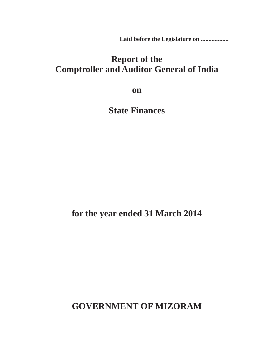**Laid before the Legislature on ..................**

### **Report of the Comptroller and Auditor General of India**

**on**

**State Finances**

**for the year ended 31 March 2014**

**GOVERNMENT OF MIZORAM**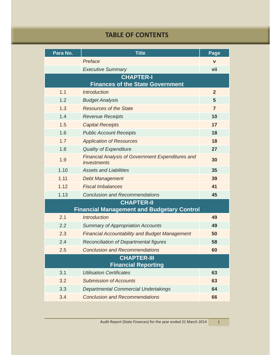#### **TABLE OF CONTENTS**

| Para No.                                         | <b>Title</b>                                                                   | Page           |  |
|--------------------------------------------------|--------------------------------------------------------------------------------|----------------|--|
|                                                  | Preface                                                                        | $\mathbf v$    |  |
|                                                  | <b>Executive Summary</b>                                                       | vii            |  |
| <b>CHAPTER-I</b>                                 |                                                                                |                |  |
| 1.1                                              | <b>Finances of the State Government</b><br><b>Introduction</b>                 | $\overline{2}$ |  |
| 1.2                                              | <b>Budget Analysis</b>                                                         | 5              |  |
| 1.3                                              | <b>Resources of the State</b>                                                  | $\overline{7}$ |  |
| 1.4                                              | <b>Revenue Receipts</b>                                                        | 10             |  |
| 1.5                                              | <b>Capital Receipts</b>                                                        | 17             |  |
| 1.6                                              | <b>Public Account Receipts</b>                                                 | 18             |  |
| 1.7                                              | <b>Application of Resources</b>                                                | 18             |  |
| 1.8                                              | <b>Quality of Expenditure</b>                                                  | 27             |  |
| 1.9                                              | <b>Financial Analysis of Government Expenditures and</b><br><b>Investments</b> | 30             |  |
| 1.10                                             | <b>Assets and Liabilities</b>                                                  | 35             |  |
| 1.11                                             | <b>Debt Management</b>                                                         | 39             |  |
| 1.12                                             | <b>Fiscal Imbalances</b>                                                       | 41             |  |
| 1.13                                             | <b>Conclusion and Recommendations</b>                                          | 45             |  |
| <b>CHAPTER-II</b>                                |                                                                                |                |  |
|                                                  | <b>Financial Management and Budgetary Control</b>                              |                |  |
| 2.1                                              | <b>Introduction</b>                                                            | 49             |  |
| 2.2                                              | <b>Summary of Appropriation Accounts</b>                                       | 49             |  |
| 2.3                                              | <b>Financial Accountability and Budget Management</b>                          | 50             |  |
| 2.4                                              | Reconciliation of Departmental figures                                         | 58             |  |
| 2.5                                              | <b>Conclusion and Recommendations</b>                                          | 60             |  |
| <b>CHAPTER-III</b><br><b>Financial Reporting</b> |                                                                                |                |  |
| 3.1                                              | <b>Utilisation Certificates</b>                                                | 63             |  |
| 3.2                                              | <b>Submission of Accounts</b>                                                  | 63             |  |
| 3.3                                              | <b>Departmental Commercial Undertakings</b>                                    | 64             |  |
| 3.4                                              | <b>Conclusion and Recommendations</b>                                          | 66             |  |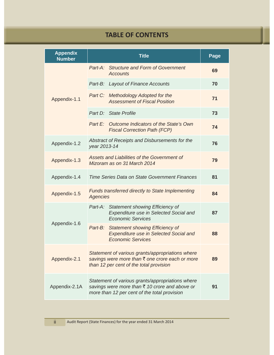### **TABLE OF CONTENTS**

| <b>Appendix</b><br><b>Number</b> | <b>Title</b>                                                                                                                                       | Page |
|----------------------------------|----------------------------------------------------------------------------------------------------------------------------------------------------|------|
| Appendix-1.1                     | Part-A: Structure and Form of Government<br><b>Accounts</b>                                                                                        | 69   |
|                                  | Part-B: Layout of Finance Accounts                                                                                                                 | 70   |
|                                  | Part C:<br><b>Methodology Adopted for the</b><br><b>Assessment of Fiscal Position</b>                                                              | 71   |
|                                  | Part D: State Profile                                                                                                                              | 73   |
|                                  | Outcome Indicators of the State's Own<br>Part E:<br><b>Fiscal Correction Path (FCP)</b>                                                            | 74   |
| Appendix-1.2                     | Abstract of Receipts and Disbursements for the<br>year 2013-14                                                                                     | 76   |
| Appendix-1.3                     | Assets and Liabilities of the Government of<br>Mizoram as on 31 March 2014                                                                         | 79   |
| Appendix-1.4                     | Time Series Data on State Government Finances                                                                                                      | 81   |
| Appendix-1.5                     | <b>Funds transferred directly to State Implementing</b><br><b>Agencies</b>                                                                         | 84   |
|                                  | Part-A: Statement showing Efficiency of<br>Expenditure use in Selected Social and<br><b>Economic Services</b>                                      | 87   |
| Appendix-1.6                     | Part-B:<br><b>Statement showing Efficiency of</b><br><b>Expenditure use in Selected Social and</b><br><b>Economic Services</b>                     | 88   |
| Appendix-2.1                     | Statement of various grants/appropriations where<br>savings were more than ₹ one crore each or more<br>than 12 per cent of the total provision     | 89   |
| Appendix-2.1A                    | Statement of various grants/appropriations where<br>savings were more than ₹ 10 crore and above or<br>more than 12 per cent of the total provision | 91   |